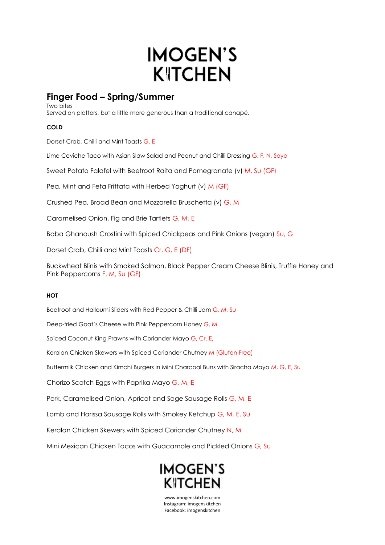## **IMOGEN'S KITCHEN**

## **Finger Food – Spring/Summer**

Two bites Served on platters, but a little more generous than a traditional canapé.

## **COLD**

Dorset Crab, Chilli and Mint Toasts G, E

Lime Ceviche Taco with Asian Slaw Salad and Peanut and Chilli Dressing G, F, N, Soya

Sweet Potato Falafel with Beetroot Raita and Pomegranate (v) M, Su (GF)

Pea, Mint and Feta Frittata with Herbed Yoghurt (v) M (GF)

Crushed Pea, Broad Bean and Mozzarella Bruschetta (v) G, M

Caramelised Onion, Fig and Brie Tartlets G, M, E

Baba Ghanoush Crostini with Spiced Chickpeas and Pink Onions (vegan) Su, G

Dorset Crab, Chilli and Mint Toasts Cr, G, E (DF)

Buckwheat Blinis with Smoked Salmon, Black Pepper Cream Cheese Blinis, Truffle Honey and Pink Peppercorns F, M, Su (GF)

## **HOT**

Beetroot and Halloumi Sliders with Red Pepper & Chilli Jam G, M, Su

Deep-fried Goat's Cheese with Pink Peppercorn Honey G, M

Spiced Coconut King Prawns with Coriander Mayo G, Cr, E,

Keralan Chicken Skewers with Spiced Coriander Chutney M (Gluten Free)

Buttermilk Chicken and Kimchi Burgers in Mini Charcoal Buns with Siracha Mayo M, G, E, Su

Chorizo Scotch Eggs with Paprika Mayo G, M, E

Pork, Caramelised Onion, Apricot and Sage Sausage Rolls G, M, E

Lamb and Harissa Sausage Rolls with Smokey Ketchup G, M, E, Su

Keralan Chicken Skewers with Spiced Coriander Chutney N, M

Mini Mexican Chicken Tacos with Guacamole and Pickled Onions G, Su



www.imogenskitchen.com Instagram: imogenskitchen Facebook: imogenskitchen